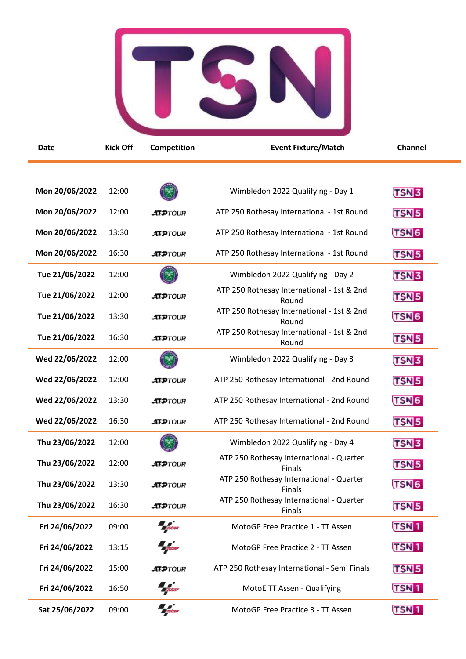

| <b>Date</b>    | <b>Kick Off</b> | Competition                     | <b>Event Fixture/Match</b>                                | Channel                |
|----------------|-----------------|---------------------------------|-----------------------------------------------------------|------------------------|
|                |                 |                                 |                                                           |                        |
| Mon 20/06/2022 | 12:00           |                                 | Wimbledon 2022 Qualifying - Day 1                         | <b>TSN3</b>            |
| Mon 20/06/2022 | 12:00           | <b>ATPTOUR</b>                  | ATP 250 Rothesay International - 1st Round                | <b>TSN<sub>5</sub></b> |
| Mon 20/06/2022 | 13:30           | <b>ATPTOUR</b>                  | ATP 250 Rothesay International - 1st Round                | <b>TSN<sub>6</sub></b> |
| Mon 20/06/2022 | 16:30           | <b>ATPTOUR</b>                  | ATP 250 Rothesay International - 1st Round                | <b>TSN<sub>5</sub></b> |
| Tue 21/06/2022 | 12:00           |                                 | Wimbledon 2022 Qualifying - Day 2                         | TSN <sub>3</sub>       |
| Tue 21/06/2022 | 12:00           | <b>ATPTOUR</b>                  | ATP 250 Rothesay International - 1st & 2nd<br>Round       | <b>TSN 5</b>           |
| Tue 21/06/2022 | 13:30           | <b>ATPTOUR</b>                  | ATP 250 Rothesay International - 1st & 2nd<br>Round       | TSN <sub>6</sub>       |
| Tue 21/06/2022 | 16:30           | <b>ATPTOUR</b>                  | ATP 250 Rothesay International - 1st & 2nd<br>Round       | <b>TSN 5</b>           |
| Wed 22/06/2022 | 12:00           |                                 | Wimbledon 2022 Qualifying - Day 3                         | TSN <sub>3</sub>       |
| Wed 22/06/2022 | 12:00           | <b>ATPTOUR</b>                  | ATP 250 Rothesay International - 2nd Round                | <b>TSN 5</b>           |
| Wed 22/06/2022 | 13:30           | <b>ATPTOUR</b>                  | ATP 250 Rothesay International - 2nd Round                | TSN <sub>6</sub>       |
| Wed 22/06/2022 | 16:30           | <b>ATPTOUR</b>                  | ATP 250 Rothesay International - 2nd Round                | <b>TSN<sub>5</sub></b> |
| Thu 23/06/2022 | 12:00           |                                 | Wimbledon 2022 Qualifying - Day 4                         | TSN <sub>3</sub>       |
| Thu 23/06/2022 | 12:00           | <b>ATPTOUR</b>                  | ATP 250 Rothesay International - Quarter<br><b>Finals</b> | TSN <sub>5</sub>       |
| Thu 23/06/2022 | 13:30           | <b>ATPTOUR</b>                  | ATP 250 Rothesay International - Quarter<br>Finals        | TSN <sub>6</sub>       |
| Thu 23/06/2022 | 16:30           | <b>ATPTOUR</b>                  | ATP 250 Rothesay International - Quarter<br><b>Finals</b> | <b>TSN5</b>            |
| Fri 24/06/2022 | 09:00           | $\frac{1}{2}$ games             | MotoGP Free Practice 1 - TT Assen                         | <b>TSN1</b>            |
| Fri 24/06/2022 | 13:15           | <b><i><u>Robert</u></i></b>     | MotoGP Free Practice 2 - TT Assen                         | <b>TSN1</b>            |
| Fri 24/06/2022 | 15:00           | <b>ATPTOUR</b>                  | ATP 250 Rothesay International - Semi Finals              | <b>TSN<sub>5</sub></b> |
| Fri 24/06/2022 | 16:50           | <b>Taylor</b>                   | MotoE TT Assen - Qualifying                               | <b>TSN1</b>            |
| Sat 25/06/2022 | 09:00           | $\frac{1}{2}$ and $\frac{1}{2}$ | MotoGP Free Practice 3 - TT Assen                         | <b>TSN1</b>            |